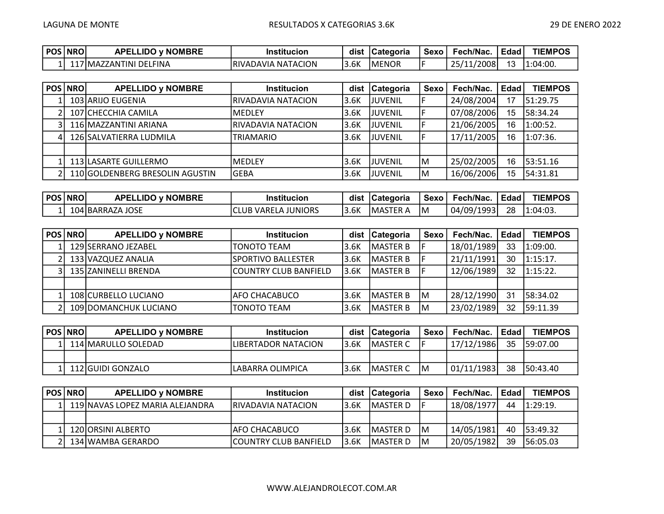| POS   NRO |    | <b>D</b> v NOMBRE<br><b>APELI</b><br>∟IDC | ınstitucion         | dist | <b>Categoria</b> | Sexo | Fech/Nac.       | Edad | <b>TIEMPOS</b> |
|-----------|----|-------------------------------------------|---------------------|------|------------------|------|-----------------|------|----------------|
|           | -- | 17lMAZZANTINI DELFINA                     | IRIVADAVIA NATACION | 3.6K | IMENOR           |      | '2008<br>25/11/ | 13   | 1:04:00.       |

| <b>POS NROI</b> | <b>APELLIDO y NOMBRE</b>        | <b>Institucion</b>  | dist  | <b>Categoria</b> | Sexo | Fech/Nac.  | Edad | <b>TIEMPOS</b> |
|-----------------|---------------------------------|---------------------|-------|------------------|------|------------|------|----------------|
|                 | 103 ARIJO EUGENIA               | RIVADAVIA NATACION  | 13.6K | <b>IJUVENIL</b>  |      | 24/08/2004 | 17   | 51:29.75       |
|                 | 107 CHECCHIA CAMILA             | <b>IMEDLEY</b>      | 3.6K  | <b>JJUVENIL</b>  |      | 07/08/2006 | 15   | 58:34.24       |
|                 | 116 MAZZANTINI ARIANA           | IRIVADAVIA NATACION | 13.6K | <b>JJUVENIL</b>  |      | 21/06/2005 | 16   | 1:00:52.       |
|                 | 126 SALVATIERRA LUDMILA         | <b>TRIAMARIO</b>    | 13.6K | <b>JJUVENIL</b>  |      | 17/11/2005 | 16   | 1:07:36.       |
|                 |                                 |                     |       |                  |      |            |      |                |
|                 | 113 LASARTE GUILLERMO           | <b>IMEDLEY</b>      | 13.6K | <b>JJUVENIL</b>  | lМ   | 25/02/2005 | 16   | 53:51.16       |
|                 | 110 GOLDENBERG BRESOLIN AGUSTIN | lgeba               | 3.6K  | <b>JJUVENIL</b>  | lм   | 16/06/2006 | 15   | 54:31.81       |

| <b>POS NRO</b> | <b>J v NOMBRE</b><br>APEL<br>∟IDO | .<br>Institucion          | dist                    | <b>ICategoria</b> | Sexo | Fech/Nac   | Edad, | <b>TIEMPOS</b> |
|----------------|-----------------------------------|---------------------------|-------------------------|-------------------|------|------------|-------|----------------|
|                | 104 BARRAZA JOSE                  | 3 VARELA JUNIORS<br>'CLUB | $\sim$ $\prime$<br>3.DK | IMASTER<br>A      | lM   | 04/09/1993 | 28    | $1:04:03$ .    |

| POS   NROI | <b>APELLIDO y NOMBRE</b> | <b>Institucion</b>    | dist  | Categoria        | Sexo | Fech/Nac.  | <b>Edad</b> | <b>TIEMPOS</b> |
|------------|--------------------------|-----------------------|-------|------------------|------|------------|-------------|----------------|
|            | 129 SERRANO JEZABEL      | TONOTO TEAM           | 3.6K  | <b>IMASTER B</b> |      | 18/01/1989 | 33          | 1:09:00.       |
|            | 133 VAZQUEZ ANALIA       | ISPORTIVO BALLESTER   | 13.6K | <b>IMASTER B</b> |      | 21/11/1991 | 30          | $1:15:17$ .    |
|            | 135 IZANINELLI BRENDA    | COUNTRY CLUB BANFIELD | 13.6K | <b>IMASTER B</b> |      | 12/06/1989 | 32          | $1:15:22$ .    |
|            |                          |                       |       |                  |      |            |             |                |
|            | 108 CURBELLO LUCIANO     | lAFO CHACABUCO        | 3.6K  | <b>IMASTER B</b> | ΙM   | 28/12/1990 | 31          | 58:34.02       |
|            | 109 DOMANCHUK LUCIANO    | TONOTO TEAM           | 3.6K  | <b>MASTER B</b>  | ΙM   | 23/02/1989 | 32          | 159:11.39      |

| POS   NRO | <b>APELLIDO y NOMBRE</b> | <b>Institucion</b>  |       | dist   Categoria | Sexo | Fech/Nac.  | ∣ Edad I | <b>TIEMPOS</b> |
|-----------|--------------------------|---------------------|-------|------------------|------|------------|----------|----------------|
|           | 114 MARULLO SOLEDAD      | LIBERTADOR NATACION | 13.6K | <b>IMASTER C</b> |      | 17/12/1986 | 35       | 159:07.00      |
|           |                          |                     |       |                  |      |            |          |                |
|           | 112 IGUIDI GONZALO       | LABARRA OLIMPICA    | 13.6K | <b>IMASTER C</b> | IM.  | 01/11/1983 | 38       | 150:43.40      |

| POS   NRO | <b>APELLIDO y NOMBRE</b>        | <b>Institucion</b>     |       | dist   Categoria | Sexo | Fech/Nac.  | Edad I | <b>TIEMPOS</b> |
|-----------|---------------------------------|------------------------|-------|------------------|------|------------|--------|----------------|
|           | 119 NAVAS LOPEZ MARIA ALEJANDRA | IRIVADAVIA NATACION    | 13.6K | IMASTER D        |      | 18/08/1977 | 44     | $1:29:19$ .    |
|           |                                 |                        |       |                  |      |            |        |                |
|           | 120 IORSINI ALBERTO             | IAFO CHACABUCO         | 3.6K  | <b>IMASTER D</b> | IM.  | 14/05/1981 | 40     | 53:49.32       |
|           | 134 WAMBA GERARDO               | ICOUNTRY CLUB BANFIELD | 13.6K | IMASTER D        | IМ   | 20/05/1982 | 39     | 56:05.03       |